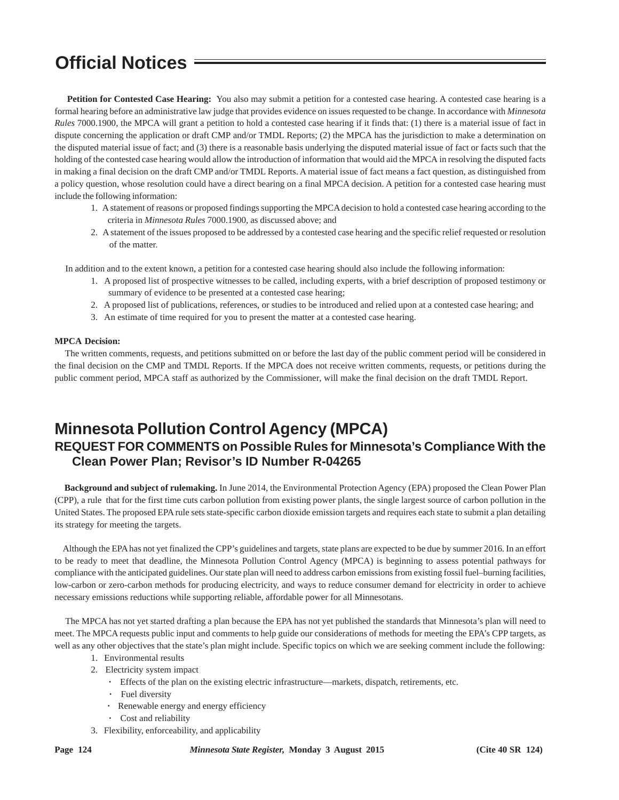## **Official Notices**

 **Petition for Contested Case Hearing:** You also may submit a petition for a contested case hearing. A contested case hearing is a formal hearing before an administrative law judge that provides evidence on issues requested to be change. In accordance with *Minnesota Rules* 7000.1900, the MPCA will grant a petition to hold a contested case hearing if it finds that: (1) there is a material issue of fact in dispute concerning the application or draft CMP and/or TMDL Reports; (2) the MPCA has the jurisdiction to make a determination on the disputed material issue of fact; and (3) there is a reasonable basis underlying the disputed material issue of fact or facts such that the holding of the contested case hearing would allow the introduction of information that would aid the MPCA in resolving the disputed facts in making a final decision on the draft CMP and/or TMDL Reports. A material issue of fact means a fact question, as distinguished from a policy question, whose resolution could have a direct bearing on a final MPCA decision. A petition for a contested case hearing must include the following information:

- 1. A statement of reasons or proposed findings supporting the MPCA decision to hold a contested case hearing according to the criteria in *Minnesota Rules* 7000.1900, as discussed above; and
- 2. A statement of the issues proposed to be addressed by a contested case hearing and the specific relief requested or resolution of the matter.

In addition and to the extent known, a petition for a contested case hearing should also include the following information:

- 1. A proposed list of prospective witnesses to be called, including experts, with a brief description of proposed testimony or summary of evidence to be presented at a contested case hearing;
- 2. A proposed list of publications, references, or studies to be introduced and relied upon at a contested case hearing; and
- 3. An estimate of time required for you to present the matter at a contested case hearing.

#### **MPCA Decision:**

 The written comments, requests, and petitions submitted on or before the last day of the public comment period will be considered in the final decision on the CMP and TMDL Reports. If the MPCA does not receive written comments, requests, or petitions during the public comment period, MPCA staff as authorized by the Commissioner, will make the final decision on the draft TMDL Report.

### **Minnesota Pollution Control Agency (MPCA)**

#### **REQUEST FOR COMMENTS on Possible Rules for Minnesota's Compliance With the Clean Power Plan; Revisor's ID Number R-04265**

 **Background and subject of rulemaking.** In June 2014, the Environmental Protection Agency (EPA) proposed the Clean Power Plan (CPP), a rule that for the first time cuts carbon pollution from existing power plants, the single largest source of carbon pollution in the United States. The proposed EPA rule sets state-specific carbon dioxide emission targets and requires each state to submit a plan detailing its strategy for meeting the targets.

 Although the EPA has not yet finalized the CPP's guidelines and targets, state plans are expected to be due by summer 2016. In an effort to be ready to meet that deadline, the Minnesota Pollution Control Agency (MPCA) is beginning to assess potential pathways for compliance with the anticipated guidelines. Our state plan will need to address carbon emissions from existing fossil fuel–burning facilities, low-carbon or zero-carbon methods for producing electricity, and ways to reduce consumer demand for electricity in order to achieve necessary emissions reductions while supporting reliable, affordable power for all Minnesotans.

 The MPCA has not yet started drafting a plan because the EPA has not yet published the standards that Minnesota's plan will need to meet. The MPCA requests public input and comments to help guide our considerations of methods for meeting the EPA's CPP targets, as well as any other objectives that the state's plan might include. Specific topics on which we are seeking comment include the following:

- 1. Environmental results
- 2. Electricity system impact
	- **·** Effects of the plan on the existing electric infrastructure—markets, dispatch, retirements, etc.
	- **·** Fuel diversity
	- **·** Renewable energy and energy efficiency
	- **·** Cost and reliability
- 3. Flexibility, enforceability, and applicability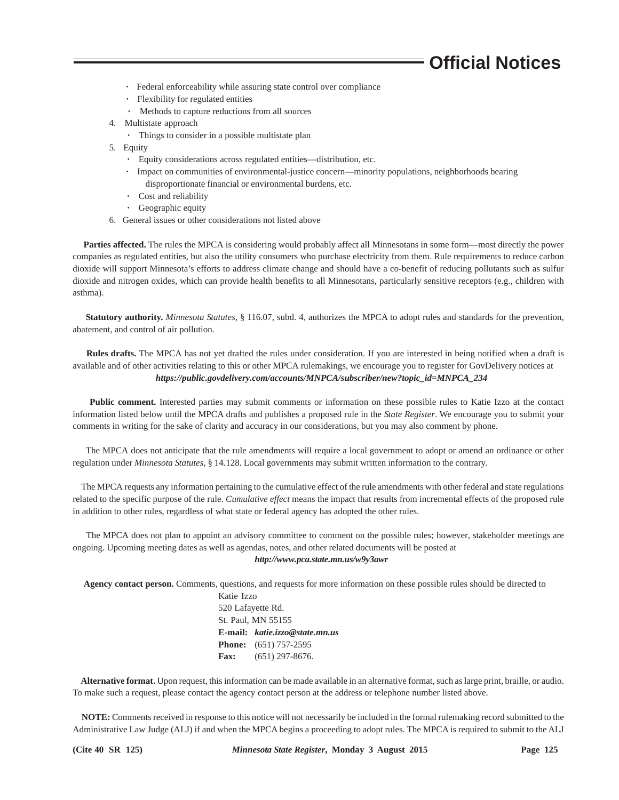### **Official Notices**

- **·** Federal enforceability while assuring state control over compliance
- **·** Flexibility for regulated entities
- **·** Methods to capture reductions from all sources
- 4. Multistate approach
	- **·** Things to consider in a possible multistate plan
- 5. Equity
	- **·** Equity considerations across regulated entities—distribution, etc.
	- **·** Impact on communities of environmental-justice concern—minority populations, neighborhoods bearing disproportionate financial or environmental burdens, etc.
	- **·** Cost and reliability
	- **·** Geographic equity
- 6. General issues or other considerations not listed above

 **Parties affected.** The rules the MPCA is considering would probably affect all Minnesotans in some form—most directly the power companies as regulated entities, but also the utility consumers who purchase electricity from them. Rule requirements to reduce carbon dioxide will support Minnesota's efforts to address climate change and should have a co-benefit of reducing pollutants such as sulfur dioxide and nitrogen oxides, which can provide health benefits to all Minnesotans, particularly sensitive receptors (e.g., children with asthma).

 **Statutory authority.** *Minnesota Statutes*, § 116.07, subd. 4, authorizes the MPCA to adopt rules and standards for the prevention, abatement, and control of air pollution.

 **Rules drafts.** The MPCA has not yet drafted the rules under consideration. If you are interested in being notified when a draft is available and of other activities relating to this or other MPCA rulemakings, we encourage you to register for GovDelivery notices at  *https://public.govdelivery.com/accounts/MNPCA/subscriber/new?topic\_id=MNPCA\_234*

 **Public comment.** Interested parties may submit comments or information on these possible rules to Katie Izzo at the contact information listed below until the MPCA drafts and publishes a proposed rule in the *State Register*. We encourage you to submit your comments in writing for the sake of clarity and accuracy in our considerations, but you may also comment by phone.

 The MPCA does not anticipate that the rule amendments will require a local government to adopt or amend an ordinance or other regulation under *Minnesota Statutes,* § 14.128. Local governments may submit written information to the contrary.

 The MPCA requests any information pertaining to the cumulative effect of the rule amendments with other federal and state regulations related to the specific purpose of the rule. *Cumulative effect* means the impact that results from incremental effects of the proposed rule in addition to other rules, regardless of what state or federal agency has adopted the other rules.

 The MPCA does not plan to appoint an advisory committee to comment on the possible rules; however, stakeholder meetings are ongoing. Upcoming meeting dates as well as agendas, notes, and other related documents will be posted at *http://www.pca.state.mn.us/w9y3awr*

 **Agency contact person.** Comments, questions, and requests for more information on these possible rules should be directed to

Katie Izzo 520 Lafayette Rd. St. Paul, MN 55155 **E-mail:** *katie.izzo@state.mn.us* **Phone:** (651) 757-2595 **Fax:** (651) 297-8676.

 **Alternative format.** Upon request, this information can be made available in an alternative format, such as large print, braille, or audio. To make such a request, please contact the agency contact person at the address or telephone number listed above.

 **NOTE:** Comments received in response to this notice will not necessarily be included in the formal rulemaking record submitted to the Administrative Law Judge (ALJ) if and when the MPCA begins a proceeding to adopt rules. The MPCA is required to submit to the ALJ